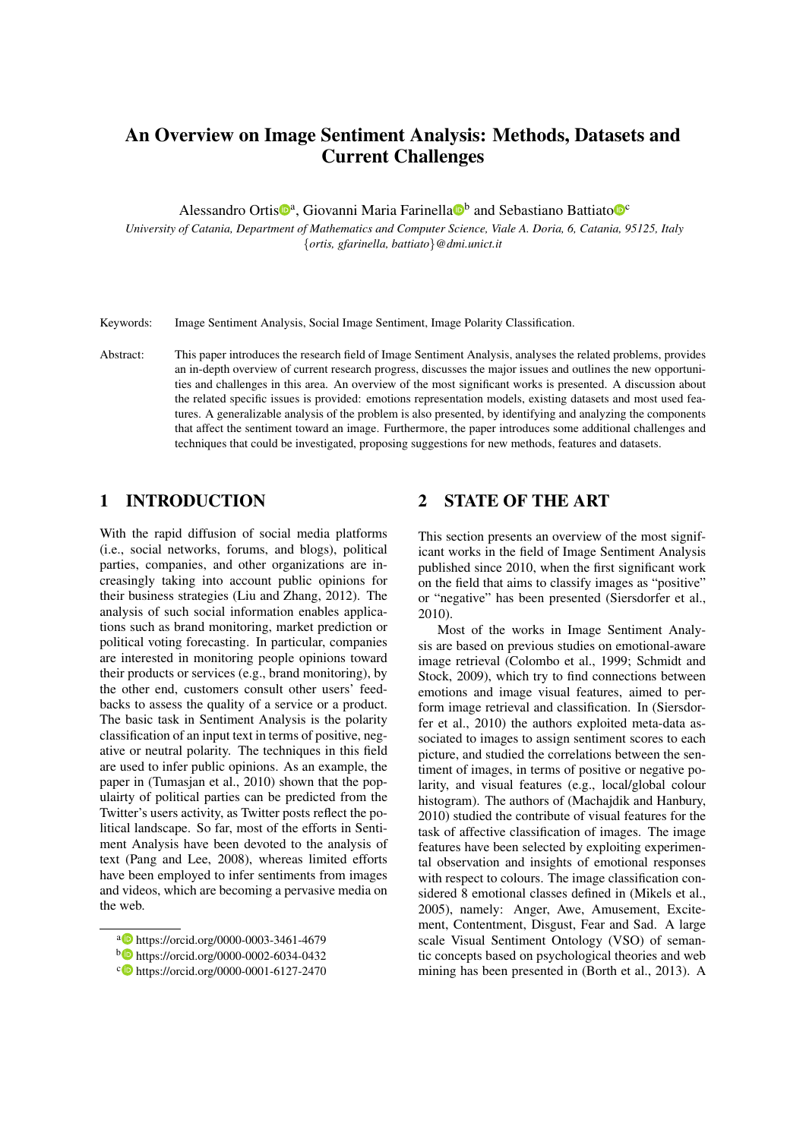# An Overview on Image Sentiment Analysis: Methods, Datasets and Current Challenges

Alessandro Ortis<sup>®a</sup>, Giovanni Maria Farinella<sup>®</sup> and Sebastiano Battiato<sup>®</sup>

*University of Catania, Department of Mathematics and Computer Science, Viale A. Doria, 6, Catania, 95125, Italy* {*ortis, gfarinella, battiato*}*@dmi.unict.it*

Keywords: Image Sentiment Analysis, Social Image Sentiment, Image Polarity Classification.

Abstract: This paper introduces the research field of Image Sentiment Analysis, analyses the related problems, provides an in-depth overview of current research progress, discusses the major issues and outlines the new opportunities and challenges in this area. An overview of the most significant works is presented. A discussion about the related specific issues is provided: emotions representation models, existing datasets and most used features. A generalizable analysis of the problem is also presented, by identifying and analyzing the components that affect the sentiment toward an image. Furthermore, the paper introduces some additional challenges and techniques that could be investigated, proposing suggestions for new methods, features and datasets.

## 1 INTRODUCTION

With the rapid diffusion of social media platforms (i.e., social networks, forums, and blogs), political parties, companies, and other organizations are increasingly taking into account public opinions for their business strategies (Liu and Zhang, 2012). The analysis of such social information enables applications such as brand monitoring, market prediction or political voting forecasting. In particular, companies are interested in monitoring people opinions toward their products or services (e.g., brand monitoring), by the other end, customers consult other users' feedbacks to assess the quality of a service or a product. The basic task in Sentiment Analysis is the polarity classification of an input text in terms of positive, negative or neutral polarity. The techniques in this field are used to infer public opinions. As an example, the paper in (Tumasjan et al., 2010) shown that the populairty of political parties can be predicted from the Twitter's users activity, as Twitter posts reflect the political landscape. So far, most of the efforts in Sentiment Analysis have been devoted to the analysis of text (Pang and Lee, 2008), whereas limited efforts have been employed to infer sentiments from images and videos, which are becoming a pervasive media on the web.

## 2 STATE OF THE ART

This section presents an overview of the most significant works in the field of Image Sentiment Analysis published since 2010, when the first significant work on the field that aims to classify images as "positive" or "negative" has been presented (Siersdorfer et al., 2010).

Most of the works in Image Sentiment Analysis are based on previous studies on emotional-aware image retrieval (Colombo et al., 1999; Schmidt and Stock, 2009), which try to find connections between emotions and image visual features, aimed to perform image retrieval and classification. In (Siersdorfer et al., 2010) the authors exploited meta-data associated to images to assign sentiment scores to each picture, and studied the correlations between the sentiment of images, in terms of positive or negative polarity, and visual features (e.g., local/global colour histogram). The authors of (Machajdik and Hanbury, 2010) studied the contribute of visual features for the task of affective classification of images. The image features have been selected by exploiting experimental observation and insights of emotional responses with respect to colours. The image classification considered 8 emotional classes defined in (Mikels et al., 2005), namely: Anger, Awe, Amusement, Excitement, Contentment, Disgust, Fear and Sad. A large scale Visual Sentiment Ontology (VSO) of semantic concepts based on psychological theories and web mining has been presented in (Borth et al., 2013). A

<sup>a</sup> https://orcid.org/0000-0003-3461-4679

<sup>b</sup> https://orcid.org/0000-0002-6034-0432

<sup>c</sup> https://orcid.org/0000-0001-6127-2470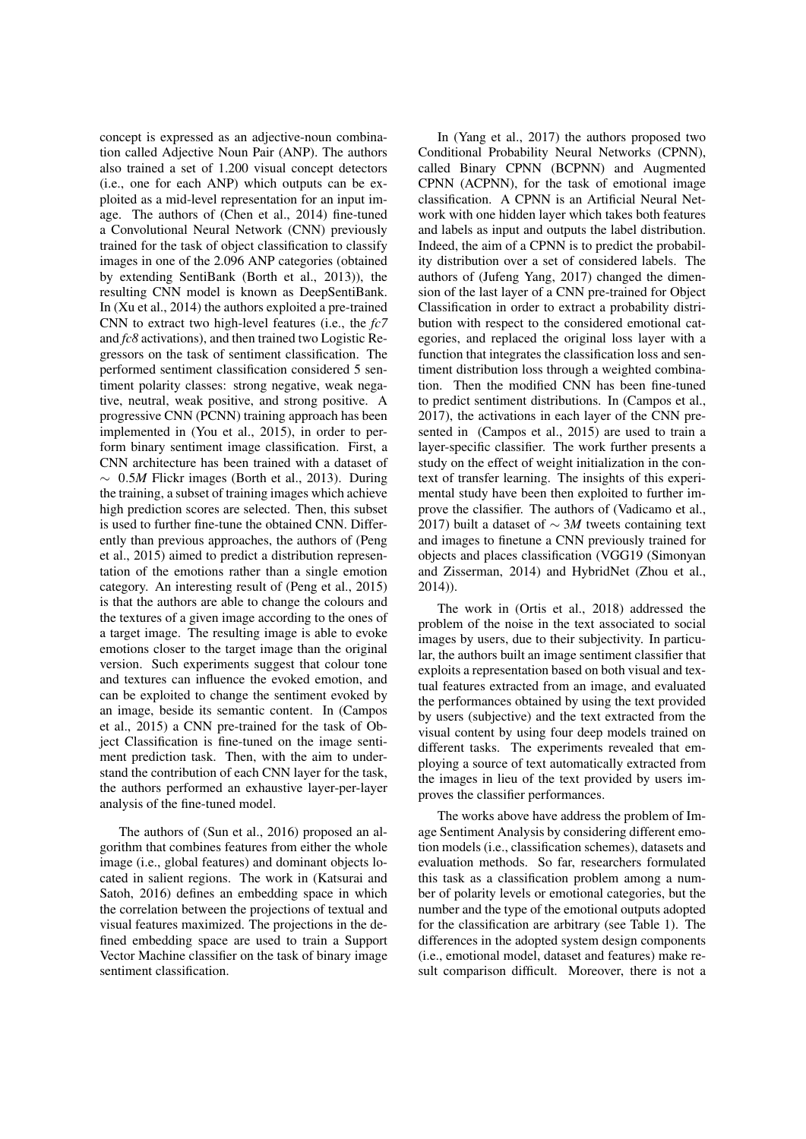concept is expressed as an adjective-noun combination called Adjective Noun Pair (ANP). The authors also trained a set of 1.200 visual concept detectors (i.e., one for each ANP) which outputs can be exploited as a mid-level representation for an input image. The authors of (Chen et al., 2014) fine-tuned a Convolutional Neural Network (CNN) previously trained for the task of object classification to classify images in one of the 2.096 ANP categories (obtained by extending SentiBank (Borth et al., 2013)), the resulting CNN model is known as DeepSentiBank. In (Xu et al., 2014) the authors exploited a pre-trained CNN to extract two high-level features (i.e., the *fc7* and *fc8* activations), and then trained two Logistic Regressors on the task of sentiment classification. The performed sentiment classification considered 5 sentiment polarity classes: strong negative, weak negative, neutral, weak positive, and strong positive. A progressive CNN (PCNN) training approach has been implemented in (You et al., 2015), in order to perform binary sentiment image classification. First, a CNN architecture has been trained with a dataset of ∼ 0.5*M* Flickr images (Borth et al., 2013). During the training, a subset of training images which achieve high prediction scores are selected. Then, this subset is used to further fine-tune the obtained CNN. Differently than previous approaches, the authors of (Peng et al., 2015) aimed to predict a distribution representation of the emotions rather than a single emotion category. An interesting result of (Peng et al., 2015) is that the authors are able to change the colours and the textures of a given image according to the ones of a target image. The resulting image is able to evoke emotions closer to the target image than the original version. Such experiments suggest that colour tone and textures can influence the evoked emotion, and can be exploited to change the sentiment evoked by an image, beside its semantic content. In (Campos et al., 2015) a CNN pre-trained for the task of Object Classification is fine-tuned on the image sentiment prediction task. Then, with the aim to understand the contribution of each CNN layer for the task, the authors performed an exhaustive layer-per-layer analysis of the fine-tuned model.

The authors of (Sun et al., 2016) proposed an algorithm that combines features from either the whole image (i.e., global features) and dominant objects located in salient regions. The work in (Katsurai and Satoh, 2016) defines an embedding space in which the correlation between the projections of textual and visual features maximized. The projections in the defined embedding space are used to train a Support Vector Machine classifier on the task of binary image sentiment classification.

In (Yang et al., 2017) the authors proposed two Conditional Probability Neural Networks (CPNN), called Binary CPNN (BCPNN) and Augmented CPNN (ACPNN), for the task of emotional image classification. A CPNN is an Artificial Neural Network with one hidden layer which takes both features and labels as input and outputs the label distribution. Indeed, the aim of a CPNN is to predict the probability distribution over a set of considered labels. The authors of (Jufeng Yang, 2017) changed the dimension of the last layer of a CNN pre-trained for Object Classification in order to extract a probability distribution with respect to the considered emotional categories, and replaced the original loss layer with a function that integrates the classification loss and sentiment distribution loss through a weighted combination. Then the modified CNN has been fine-tuned to predict sentiment distributions. In (Campos et al., 2017), the activations in each layer of the CNN presented in (Campos et al., 2015) are used to train a layer-specific classifier. The work further presents a study on the effect of weight initialization in the context of transfer learning. The insights of this experimental study have been then exploited to further improve the classifier. The authors of (Vadicamo et al., 2017) built a dataset of ∼ 3*M* tweets containing text and images to finetune a CNN previously trained for objects and places classification (VGG19 (Simonyan and Zisserman, 2014) and HybridNet (Zhou et al., 2014)).

The work in (Ortis et al., 2018) addressed the problem of the noise in the text associated to social images by users, due to their subjectivity. In particular, the authors built an image sentiment classifier that exploits a representation based on both visual and textual features extracted from an image, and evaluated the performances obtained by using the text provided by users (subjective) and the text extracted from the visual content by using four deep models trained on different tasks. The experiments revealed that employing a source of text automatically extracted from the images in lieu of the text provided by users improves the classifier performances.

The works above have address the problem of Image Sentiment Analysis by considering different emotion models (i.e., classification schemes), datasets and evaluation methods. So far, researchers formulated this task as a classification problem among a number of polarity levels or emotional categories, but the number and the type of the emotional outputs adopted for the classification are arbitrary (see Table 1). The differences in the adopted system design components (i.e., emotional model, dataset and features) make result comparison difficult. Moreover, there is not a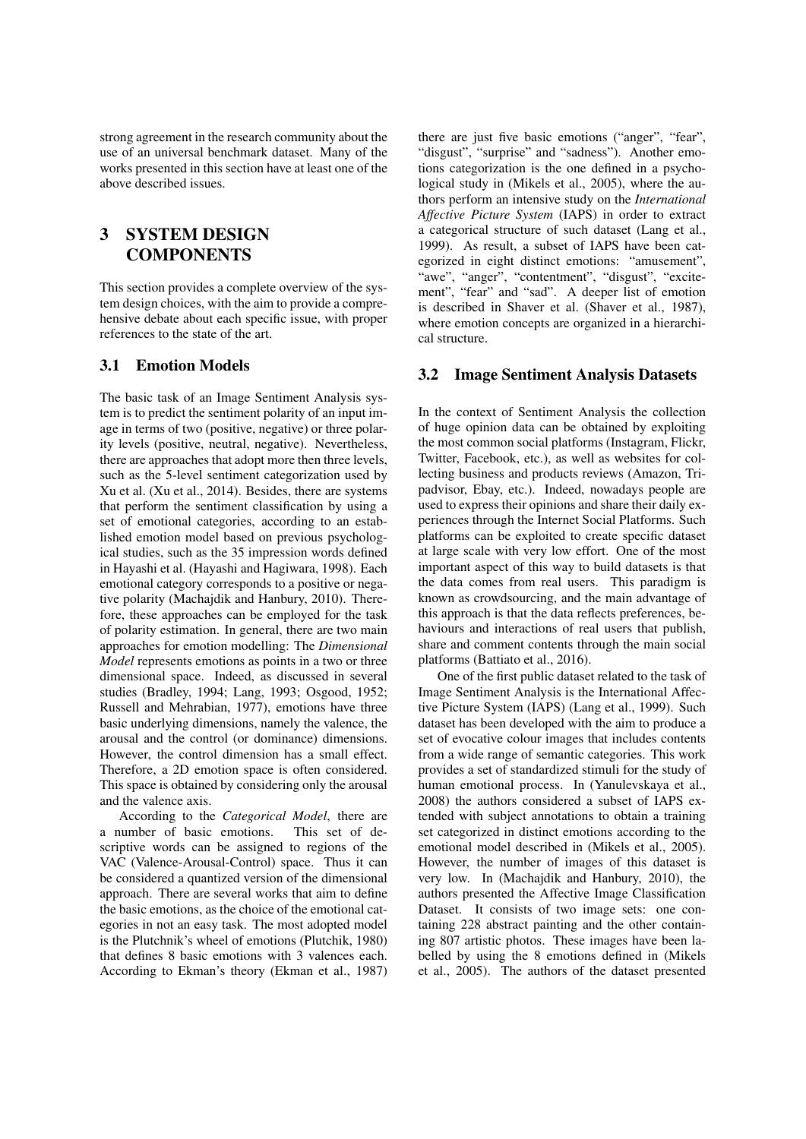strong agreement in the research community about the use of an universal benchmark dataset. Many of the works presented in this section have at least one of the above described issues.

## 3 SYSTEM DESIGN **COMPONENTS**

This section provides a complete overview of the system design choices, with the aim to provide a comprehensive debate about each specific issue, with proper references to the state of the art.

## 3.1 Emotion Models

The basic task of an Image Sentiment Analysis system is to predict the sentiment polarity of an input image in terms of two (positive, negative) or three polarity levels (positive, neutral, negative). Nevertheless, there are approaches that adopt more then three levels, such as the 5-level sentiment categorization used by Xu et al. (Xu et al., 2014). Besides, there are systems that perform the sentiment classification by using a set of emotional categories, according to an established emotion model based on previous psychological studies, such as the 35 impression words defined in Hayashi et al. (Hayashi and Hagiwara, 1998). Each emotional category corresponds to a positive or negative polarity (Machajdik and Hanbury, 2010). Therefore, these approaches can be employed for the task of polarity estimation. In general, there are two main approaches for emotion modelling: The *Dimensional Model* represents emotions as points in a two or three dimensional space. Indeed, as discussed in several studies (Bradley, 1994; Lang, 1993; Osgood, 1952; Russell and Mehrabian, 1977), emotions have three basic underlying dimensions, namely the valence, the arousal and the control (or dominance) dimensions. However, the control dimension has a small effect. Therefore, a 2D emotion space is often considered. This space is obtained by considering only the arousal and the valence axis.

According to the *Categorical Model*, there are a number of basic emotions. This set of descriptive words can be assigned to regions of the VAC (Valence-Arousal-Control) space. Thus it can be considered a quantized version of the dimensional approach. There are several works that aim to define the basic emotions, as the choice of the emotional categories in not an easy task. The most adopted model is the Plutchnik's wheel of emotions (Plutchik, 1980) that defines 8 basic emotions with 3 valences each. According to Ekman's theory (Ekman et al., 1987)

there are just five basic emotions ("anger", "fear", "disgust", "surprise" and "sadness"). Another emotions categorization is the one defined in a psychological study in (Mikels et al., 2005), where the authors perform an intensive study on the *International Affective Picture System* (IAPS) in order to extract a categorical structure of such dataset (Lang et al., 1999). As result, a subset of IAPS have been categorized in eight distinct emotions: "amusement", "awe", "anger", "contentment", "disgust", "excitement", "fear" and "sad". A deeper list of emotion is described in Shaver et al. (Shaver et al., 1987), where emotion concepts are organized in a hierarchical structure.

#### 3.2 Image Sentiment Analysis Datasets

In the context of Sentiment Analysis the collection of huge opinion data can be obtained by exploiting the most common social platforms (Instagram, Flickr, Twitter, Facebook, etc.), as well as websites for collecting business and products reviews (Amazon, Tripadvisor, Ebay, etc.). Indeed, nowadays people are used to express their opinions and share their daily experiences through the Internet Social Platforms. Such platforms can be exploited to create specific dataset at large scale with very low effort. One of the most important aspect of this way to build datasets is that the data comes from real users. This paradigm is known as crowdsourcing, and the main advantage of this approach is that the data reflects preferences, behaviours and interactions of real users that publish, share and comment contents through the main social platforms (Battiato et al., 2016).

One of the first public dataset related to the task of Image Sentiment Analysis is the International Affective Picture System (IAPS) (Lang et al., 1999). Such dataset has been developed with the aim to produce a set of evocative colour images that includes contents from a wide range of semantic categories. This work provides a set of standardized stimuli for the study of human emotional process. In (Yanulevskaya et al., 2008) the authors considered a subset of IAPS extended with subject annotations to obtain a training set categorized in distinct emotions according to the emotional model described in (Mikels et al., 2005). However, the number of images of this dataset is very low. In (Machajdik and Hanbury, 2010), the authors presented the Affective Image Classification Dataset. It consists of two image sets: one containing 228 abstract painting and the other containing 807 artistic photos. These images have been labelled by using the 8 emotions defined in (Mikels et al., 2005). The authors of the dataset presented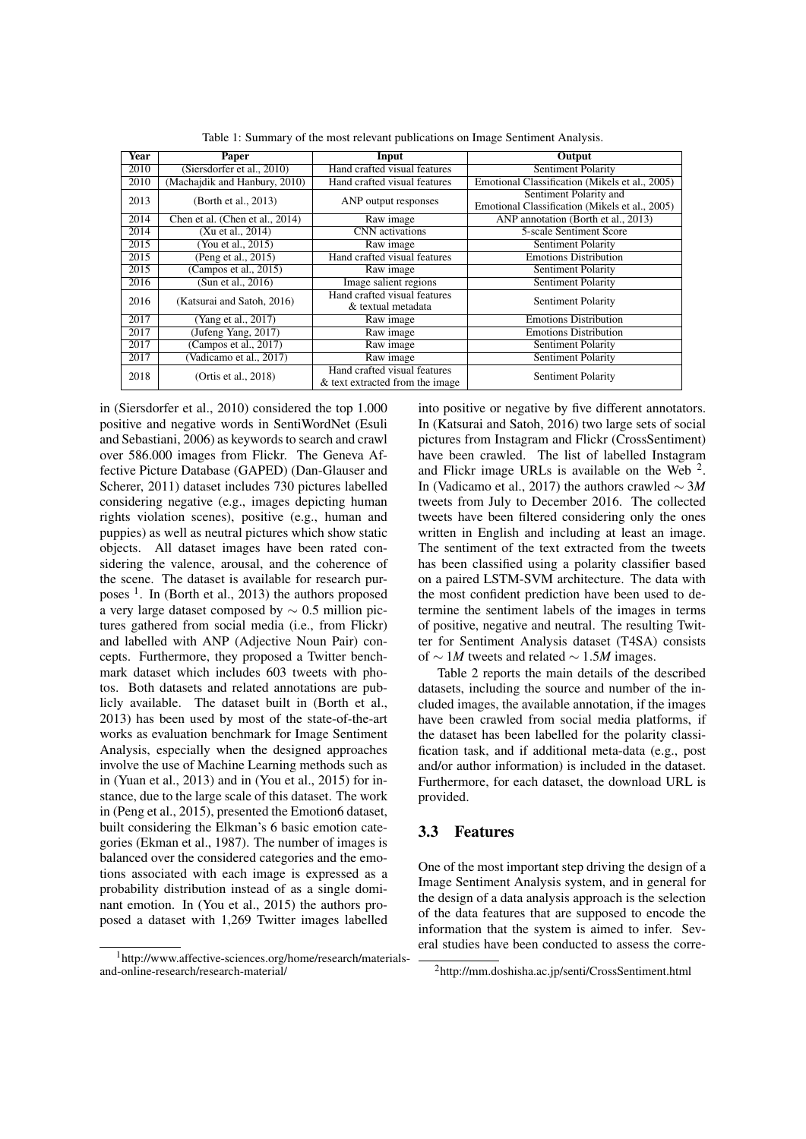| Year | Paper                           | Input                           | Output                                         |  |  |
|------|---------------------------------|---------------------------------|------------------------------------------------|--|--|
| 2010 | (Siersdorfer et al., 2010)      | Hand crafted visual features    | Sentiment Polarity                             |  |  |
| 2010 | (Machaidik and Hanbury, 2010)   | Hand crafted visual features    | Emotional Classification (Mikels et al., 2005) |  |  |
| 2013 | (Borth et al., 2013)            | ANP output responses            | Sentiment Polarity and                         |  |  |
|      |                                 |                                 | Emotional Classification (Mikels et al., 2005) |  |  |
| 2014 | Chen et al. (Chen et al., 2014) | Raw image                       | ANP annotation (Borth et al., 2013)            |  |  |
| 2014 | (Xu et al., 2014)               | CNN activations                 | 5-scale Sentiment Score                        |  |  |
| 2015 | You et al., 2015)               | Raw image                       | Sentiment Polarity                             |  |  |
| 2015 | (Peng et al., 2015)             | Hand crafted visual features    | <b>Emotions Distribution</b>                   |  |  |
| 2015 | (Campos et al., $2015$ )        | Raw image                       | Sentiment Polarity                             |  |  |
| 2016 | (Sun et al., 2016)              | Image salient regions           | <b>Sentiment Polarity</b>                      |  |  |
| 2016 | (Katsurai and Satoh, 2016)      | Hand crafted visual features    | Sentiment Polarity                             |  |  |
|      |                                 | & textual metadata              |                                                |  |  |
| 2017 | (Yang et al., 2017)             | Raw image                       | <b>Emotions Distribution</b>                   |  |  |
| 2017 | (Jufeng Yang, 2017)             | Raw image                       | <b>Emotions Distribution</b>                   |  |  |
| 2017 | (Campos et al., 2017)           | Raw image                       | Sentiment Polarity                             |  |  |
| 2017 | (Vadicamo et al., 2017)         | Raw image                       | Sentiment Polarity                             |  |  |
| 2018 | (Ortis et al., 2018)            | Hand crafted visual features    | Sentiment Polarity                             |  |  |
|      |                                 | & text extracted from the image |                                                |  |  |

Table 1: Summary of the most relevant publications on Image Sentiment Analysis.

in (Siersdorfer et al., 2010) considered the top 1.000 positive and negative words in SentiWordNet (Esuli and Sebastiani, 2006) as keywords to search and crawl over 586.000 images from Flickr. The Geneva Affective Picture Database (GAPED) (Dan-Glauser and Scherer, 2011) dataset includes 730 pictures labelled considering negative (e.g., images depicting human rights violation scenes), positive (e.g., human and puppies) as well as neutral pictures which show static objects. All dataset images have been rated considering the valence, arousal, and the coherence of the scene. The dataset is available for research purposes <sup>1</sup>. In (Borth et al., 2013) the authors proposed a very large dataset composed by ∼ 0.5 million pictures gathered from social media (i.e., from Flickr) and labelled with ANP (Adjective Noun Pair) concepts. Furthermore, they proposed a Twitter benchmark dataset which includes 603 tweets with photos. Both datasets and related annotations are publicly available. The dataset built in (Borth et al., 2013) has been used by most of the state-of-the-art works as evaluation benchmark for Image Sentiment Analysis, especially when the designed approaches involve the use of Machine Learning methods such as in (Yuan et al., 2013) and in (You et al., 2015) for instance, due to the large scale of this dataset. The work in (Peng et al., 2015), presented the Emotion6 dataset, built considering the Elkman's 6 basic emotion categories (Ekman et al., 1987). The number of images is balanced over the considered categories and the emotions associated with each image is expressed as a probability distribution instead of as a single dominant emotion. In (You et al., 2015) the authors proposed a dataset with 1,269 Twitter images labelled

<sup>1</sup>http://www.affective-sciences.org/home/research/materialsand-online-research/research-material/

into positive or negative by five different annotators. In (Katsurai and Satoh, 2016) two large sets of social pictures from Instagram and Flickr (CrossSentiment) have been crawled. The list of labelled Instagram and Flickr image URLs is available on the Web  $2$ . In (Vadicamo et al., 2017) the authors crawled ∼ 3*M* tweets from July to December 2016. The collected tweets have been filtered considering only the ones written in English and including at least an image. The sentiment of the text extracted from the tweets has been classified using a polarity classifier based on a paired LSTM-SVM architecture. The data with the most confident prediction have been used to determine the sentiment labels of the images in terms of positive, negative and neutral. The resulting Twitter for Sentiment Analysis dataset (T4SA) consists of ∼ 1*M* tweets and related ∼ 1.5*M* images.

Table 2 reports the main details of the described datasets, including the source and number of the included images, the available annotation, if the images have been crawled from social media platforms, if the dataset has been labelled for the polarity classification task, and if additional meta-data (e.g., post and/or author information) is included in the dataset. Furthermore, for each dataset, the download URL is provided.

#### 3.3 Features

One of the most important step driving the design of a Image Sentiment Analysis system, and in general for the design of a data analysis approach is the selection of the data features that are supposed to encode the information that the system is aimed to infer. Several studies have been conducted to assess the corre-

<sup>&</sup>lt;sup>2</sup>http://mm.doshisha.ac.jp/senti/CrossSentiment.html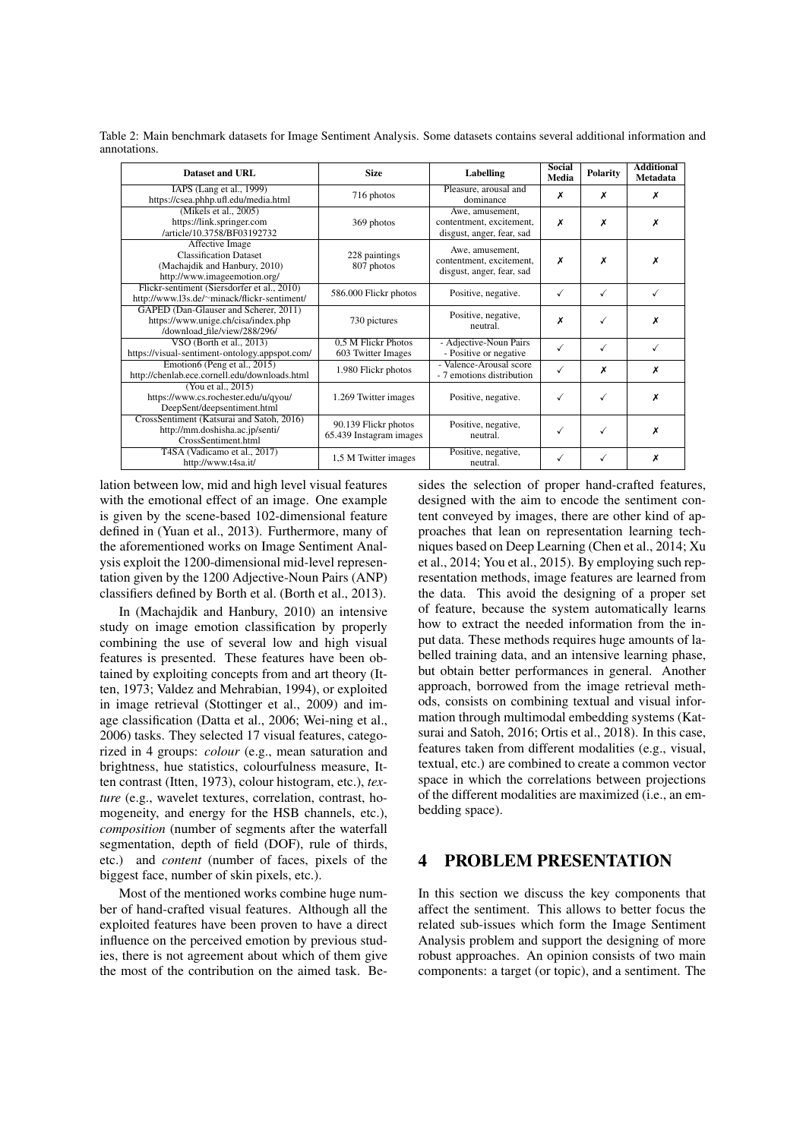|              | Table 2: Main benchmark datasets for Image Sentiment Analysis. Some datasets contains several additional information and |  |  |
|--------------|--------------------------------------------------------------------------------------------------------------------------|--|--|
| annotations. |                                                                                                                          |  |  |

| Dataset and URL                                                                                                   | <b>Size</b>                                     | Labelling                                                                | <b>Social</b><br>Media | <b>Polarity</b> | <b>Additional</b><br>Metadata |
|-------------------------------------------------------------------------------------------------------------------|-------------------------------------------------|--------------------------------------------------------------------------|------------------------|-----------------|-------------------------------|
| IAPS (Lang et al., 1999)<br>https://csea.phhp.ufl.edu/media.html                                                  | 716 photos                                      | Pleasure, arousal and<br>dominance                                       | х                      | x               | х                             |
| (Mikels et al., 2005)<br>https://link.springer.com<br>/article/10.3758/BF03192732                                 | 369 photos                                      | Awe, amusement,<br>contentment, excitement,<br>disgust, anger, fear, sad | х                      | Х               | x                             |
| Affective Image<br><b>Classification Dataset</b><br>(Machajdik and Hanbury, 2010)<br>http://www.imageemotion.org/ | 228 paintings<br>807 photos                     | Awe, amusement,<br>contentment, excitement,<br>disgust, anger, fear, sad | x                      | х               | x                             |
| Flickr-sentiment (Siersdorfer et al., 2010)<br>http://www.l3s.de/~minack/flickr-sentiment/                        | 586.000 Flickr photos                           | Positive, negative.                                                      | $\checkmark$           | √               | √                             |
| GAPED (Dan-Glauser and Scherer, 2011)<br>https://www.unige.ch/cisa/index.php<br>/download_file/view/288/296/      | 730 pictures                                    | Positive, negative,<br>neutral.                                          | x                      | ✓               | x                             |
| VSO (Borth et al., $2013$ )<br>https://visual-sentiment-ontology.appspot.com/                                     | 0.5 M Flickr Photos<br>603 Twitter Images       | - Adjective-Noun Pairs<br>- Positive or negative                         | ✓                      | √               |                               |
| Emotion6 (Peng et al., 2015)<br>http://chenlab.ece.cornell.edu/downloads.html                                     | 1.980 Flickr photos                             | - Valence-Arousal score<br>- 7 emotions distribution                     | ✓                      | x               | х                             |
| (You et al., 2015)<br>https://www.cs.rochester.edu/u/qyou/<br>DeepSent/deepsentiment.html                         | 1.269 Twitter images                            | Positive, negative.                                                      |                        | √               | х                             |
| CrossSentiment (Katsurai and Satoh, 2016)<br>http://mm.doshisha.ac.jp/senti/<br>CrossSentiment.html               | 90.139 Flickr photos<br>65.439 Instagram images | Positive, negative,<br>neutral.                                          |                        | √               | x                             |
| T4SA (Vadicamo et al., 2017)<br>http://www.t4sa.it/                                                               | 1,5 M Twitter images                            | Positive, negative,<br>neutral.                                          | ✓                      | ✓               | x                             |

lation between low, mid and high level visual features with the emotional effect of an image. One example is given by the scene-based 102-dimensional feature defined in (Yuan et al., 2013). Furthermore, many of the aforementioned works on Image Sentiment Analysis exploit the 1200-dimensional mid-level representation given by the 1200 Adjective-Noun Pairs (ANP) classifiers defined by Borth et al. (Borth et al., 2013).

In (Machajdik and Hanbury, 2010) an intensive study on image emotion classification by properly combining the use of several low and high visual features is presented. These features have been obtained by exploiting concepts from and art theory (Itten, 1973; Valdez and Mehrabian, 1994), or exploited in image retrieval (Stottinger et al., 2009) and image classification (Datta et al., 2006; Wei-ning et al., 2006) tasks. They selected 17 visual features, categorized in 4 groups: *colour* (e.g., mean saturation and brightness, hue statistics, colourfulness measure, Itten contrast (Itten, 1973), colour histogram, etc.), *texture* (e.g., wavelet textures, correlation, contrast, homogeneity, and energy for the HSB channels, etc.), *composition* (number of segments after the waterfall segmentation, depth of field (DOF), rule of thirds, etc.) and *content* (number of faces, pixels of the biggest face, number of skin pixels, etc.).

Most of the mentioned works combine huge number of hand-crafted visual features. Although all the exploited features have been proven to have a direct influence on the perceived emotion by previous studies, there is not agreement about which of them give the most of the contribution on the aimed task. Be-

sides the selection of proper hand-crafted features, designed with the aim to encode the sentiment content conveyed by images, there are other kind of approaches that lean on representation learning techniques based on Deep Learning (Chen et al., 2014; Xu et al., 2014; You et al., 2015). By employing such representation methods, image features are learned from the data. This avoid the designing of a proper set of feature, because the system automatically learns how to extract the needed information from the input data. These methods requires huge amounts of labelled training data, and an intensive learning phase, but obtain better performances in general. Another approach, borrowed from the image retrieval methods, consists on combining textual and visual information through multimodal embedding systems (Katsurai and Satoh, 2016; Ortis et al., 2018). In this case, features taken from different modalities (e.g., visual, textual, etc.) are combined to create a common vector space in which the correlations between projections of the different modalities are maximized (i.e., an embedding space).

## 4 PROBLEM PRESENTATION

In this section we discuss the key components that affect the sentiment. This allows to better focus the related sub-issues which form the Image Sentiment Analysis problem and support the designing of more robust approaches. An opinion consists of two main components: a target (or topic), and a sentiment. The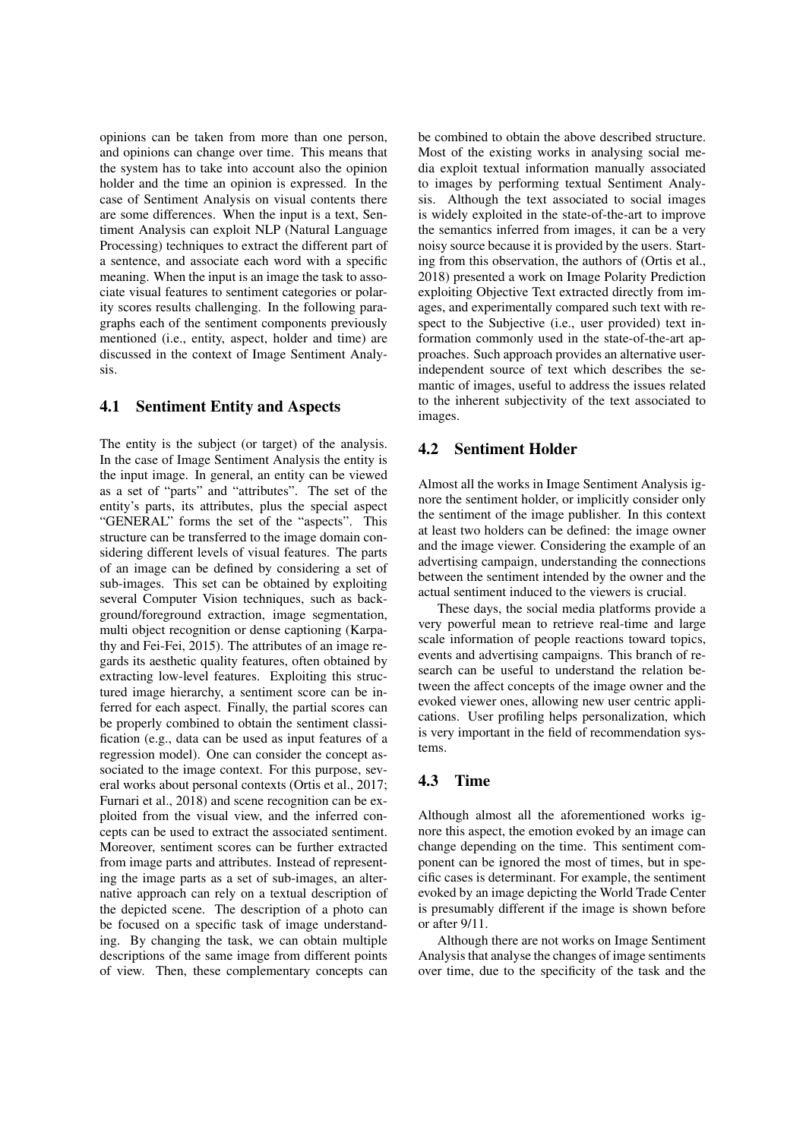opinions can be taken from more than one person, and opinions can change over time. This means that the system has to take into account also the opinion holder and the time an opinion is expressed. In the case of Sentiment Analysis on visual contents there are some differences. When the input is a text, Sentiment Analysis can exploit NLP (Natural Language Processing) techniques to extract the different part of a sentence, and associate each word with a specific meaning. When the input is an image the task to associate visual features to sentiment categories or polarity scores results challenging. In the following paragraphs each of the sentiment components previously mentioned (i.e., entity, aspect, holder and time) are discussed in the context of Image Sentiment Analysis.

## 4.1 Sentiment Entity and Aspects

The entity is the subject (or target) of the analysis. In the case of Image Sentiment Analysis the entity is the input image. In general, an entity can be viewed as a set of "parts" and "attributes". The set of the entity's parts, its attributes, plus the special aspect "GENERAL" forms the set of the "aspects". This structure can be transferred to the image domain considering different levels of visual features. The parts of an image can be defined by considering a set of sub-images. This set can be obtained by exploiting several Computer Vision techniques, such as background/foreground extraction, image segmentation, multi object recognition or dense captioning (Karpathy and Fei-Fei, 2015). The attributes of an image regards its aesthetic quality features, often obtained by extracting low-level features. Exploiting this structured image hierarchy, a sentiment score can be inferred for each aspect. Finally, the partial scores can be properly combined to obtain the sentiment classification (e.g., data can be used as input features of a regression model). One can consider the concept associated to the image context. For this purpose, several works about personal contexts (Ortis et al., 2017; Furnari et al., 2018) and scene recognition can be exploited from the visual view, and the inferred concepts can be used to extract the associated sentiment. Moreover, sentiment scores can be further extracted from image parts and attributes. Instead of representing the image parts as a set of sub-images, an alternative approach can rely on a textual description of the depicted scene. The description of a photo can be focused on a specific task of image understanding. By changing the task, we can obtain multiple descriptions of the same image from different points of view. Then, these complementary concepts can

be combined to obtain the above described structure. Most of the existing works in analysing social media exploit textual information manually associated to images by performing textual Sentiment Analysis. Although the text associated to social images is widely exploited in the state-of-the-art to improve the semantics inferred from images, it can be a very noisy source because it is provided by the users. Starting from this observation, the authors of (Ortis et al., 2018) presented a work on Image Polarity Prediction exploiting Objective Text extracted directly from images, and experimentally compared such text with respect to the Subjective (i.e., user provided) text information commonly used in the state-of-the-art approaches. Such approach provides an alternative userindependent source of text which describes the semantic of images, useful to address the issues related to the inherent subjectivity of the text associated to images.

#### 4.2 Sentiment Holder

Almost all the works in Image Sentiment Analysis ignore the sentiment holder, or implicitly consider only the sentiment of the image publisher. In this context at least two holders can be defined: the image owner and the image viewer. Considering the example of an advertising campaign, understanding the connections between the sentiment intended by the owner and the actual sentiment induced to the viewers is crucial.

These days, the social media platforms provide a very powerful mean to retrieve real-time and large scale information of people reactions toward topics, events and advertising campaigns. This branch of research can be useful to understand the relation between the affect concepts of the image owner and the evoked viewer ones, allowing new user centric applications. User profiling helps personalization, which is very important in the field of recommendation systems.

#### 4.3 Time

Although almost all the aforementioned works ignore this aspect, the emotion evoked by an image can change depending on the time. This sentiment component can be ignored the most of times, but in specific cases is determinant. For example, the sentiment evoked by an image depicting the World Trade Center is presumably different if the image is shown before or after 9/11.

Although there are not works on Image Sentiment Analysis that analyse the changes of image sentiments over time, due to the specificity of the task and the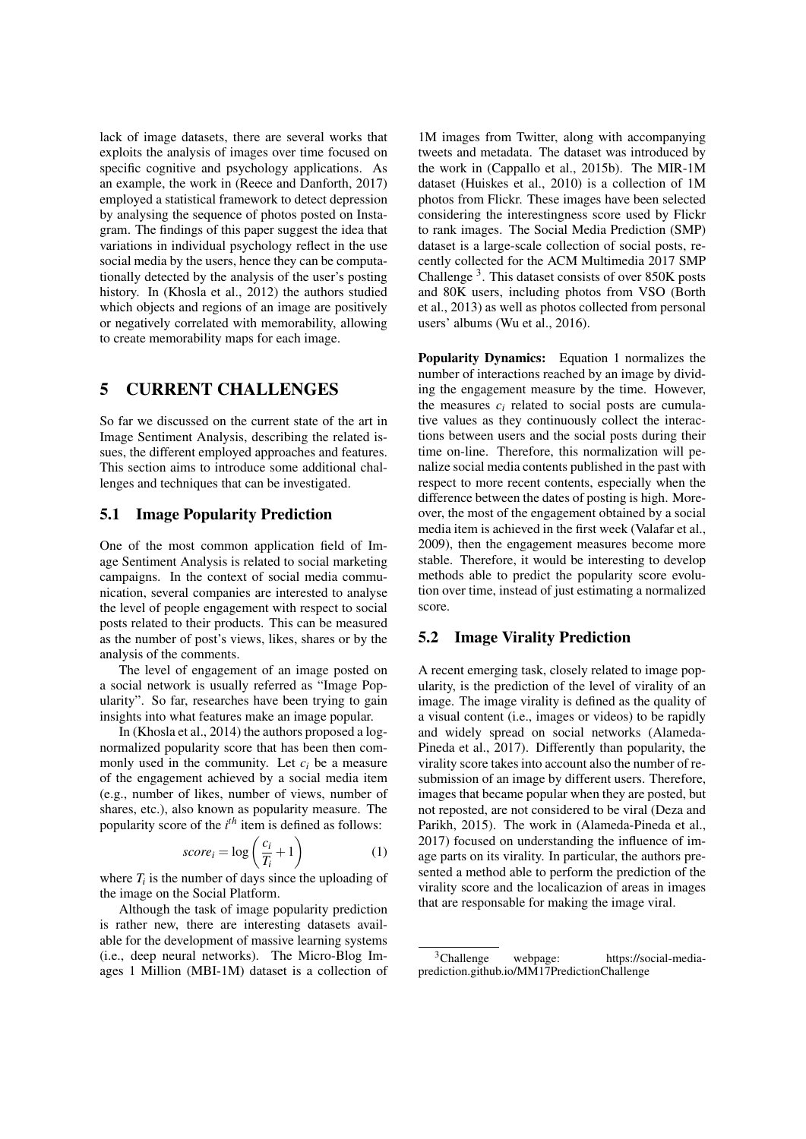lack of image datasets, there are several works that exploits the analysis of images over time focused on specific cognitive and psychology applications. As an example, the work in (Reece and Danforth, 2017) employed a statistical framework to detect depression by analysing the sequence of photos posted on Instagram. The findings of this paper suggest the idea that variations in individual psychology reflect in the use social media by the users, hence they can be computationally detected by the analysis of the user's posting history. In (Khosla et al., 2012) the authors studied which objects and regions of an image are positively or negatively correlated with memorability, allowing to create memorability maps for each image.

#### 5 CURRENT CHALLENGES

So far we discussed on the current state of the art in Image Sentiment Analysis, describing the related issues, the different employed approaches and features. This section aims to introduce some additional challenges and techniques that can be investigated.

#### 5.1 Image Popularity Prediction

One of the most common application field of Image Sentiment Analysis is related to social marketing campaigns. In the context of social media communication, several companies are interested to analyse the level of people engagement with respect to social posts related to their products. This can be measured as the number of post's views, likes, shares or by the analysis of the comments.

The level of engagement of an image posted on a social network is usually referred as "Image Popularity". So far, researches have been trying to gain insights into what features make an image popular.

In (Khosla et al., 2014) the authors proposed a lognormalized popularity score that has been then commonly used in the community. Let  $c_i$  be a measure of the engagement achieved by a social media item (e.g., number of likes, number of views, number of shares, etc.), also known as popularity measure. The popularity score of the *i*<sup>th</sup> item is defined as follows:

$$
score_i = \log\left(\frac{c_i}{T_i} + 1\right) \tag{1}
$$

where  $T_i$  is the number of days since the uploading of the image on the Social Platform.

Although the task of image popularity prediction is rather new, there are interesting datasets available for the development of massive learning systems (i.e., deep neural networks). The Micro-Blog Images 1 Million (MBI-1M) dataset is a collection of

1M images from Twitter, along with accompanying tweets and metadata. The dataset was introduced by the work in (Cappallo et al., 2015b). The MIR-1M dataset (Huiskes et al., 2010) is a collection of 1M photos from Flickr. These images have been selected considering the interestingness score used by Flickr to rank images. The Social Media Prediction (SMP) dataset is a large-scale collection of social posts, recently collected for the ACM Multimedia 2017 SMP Challenge<sup>3</sup>. This dataset consists of over 850K posts and 80K users, including photos from VSO (Borth et al., 2013) as well as photos collected from personal users' albums (Wu et al., 2016).

Popularity Dynamics: Equation 1 normalizes the number of interactions reached by an image by dividing the engagement measure by the time. However, the measures  $c_i$  related to social posts are cumulative values as they continuously collect the interactions between users and the social posts during their time on-line. Therefore, this normalization will penalize social media contents published in the past with respect to more recent contents, especially when the difference between the dates of posting is high. Moreover, the most of the engagement obtained by a social media item is achieved in the first week (Valafar et al., 2009), then the engagement measures become more stable. Therefore, it would be interesting to develop methods able to predict the popularity score evolution over time, instead of just estimating a normalized score.

#### 5.2 Image Virality Prediction

A recent emerging task, closely related to image popularity, is the prediction of the level of virality of an image. The image virality is defined as the quality of a visual content (i.e., images or videos) to be rapidly and widely spread on social networks (Alameda-Pineda et al., 2017). Differently than popularity, the virality score takes into account also the number of resubmission of an image by different users. Therefore, images that became popular when they are posted, but not reposted, are not considered to be viral (Deza and Parikh, 2015). The work in (Alameda-Pineda et al., 2017) focused on understanding the influence of image parts on its virality. In particular, the authors presented a method able to perform the prediction of the virality score and the localicazion of areas in images that are responsable for making the image viral.

<sup>3</sup>Challenge webpage: https://social-mediaprediction.github.io/MM17PredictionChallenge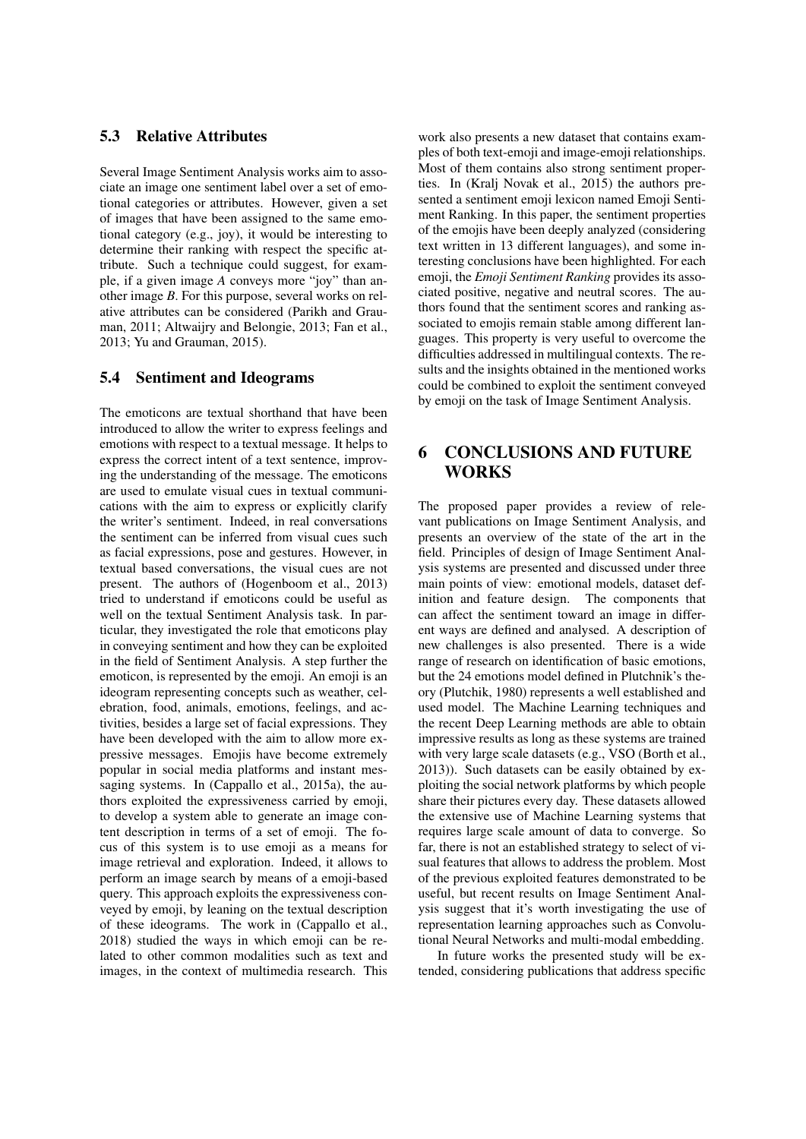#### 5.3 Relative Attributes

Several Image Sentiment Analysis works aim to associate an image one sentiment label over a set of emotional categories or attributes. However, given a set of images that have been assigned to the same emotional category (e.g., joy), it would be interesting to determine their ranking with respect the specific attribute. Such a technique could suggest, for example, if a given image *A* conveys more "joy" than another image *B*. For this purpose, several works on relative attributes can be considered (Parikh and Grauman, 2011; Altwaijry and Belongie, 2013; Fan et al., 2013; Yu and Grauman, 2015).

#### 5.4 Sentiment and Ideograms

The emoticons are textual shorthand that have been introduced to allow the writer to express feelings and emotions with respect to a textual message. It helps to express the correct intent of a text sentence, improving the understanding of the message. The emoticons are used to emulate visual cues in textual communications with the aim to express or explicitly clarify the writer's sentiment. Indeed, in real conversations the sentiment can be inferred from visual cues such as facial expressions, pose and gestures. However, in textual based conversations, the visual cues are not present. The authors of (Hogenboom et al., 2013) tried to understand if emoticons could be useful as well on the textual Sentiment Analysis task. In particular, they investigated the role that emoticons play in conveying sentiment and how they can be exploited in the field of Sentiment Analysis. A step further the emoticon, is represented by the emoji. An emoji is an ideogram representing concepts such as weather, celebration, food, animals, emotions, feelings, and activities, besides a large set of facial expressions. They have been developed with the aim to allow more expressive messages. Emojis have become extremely popular in social media platforms and instant messaging systems. In (Cappallo et al., 2015a), the authors exploited the expressiveness carried by emoji, to develop a system able to generate an image content description in terms of a set of emoji. The focus of this system is to use emoji as a means for image retrieval and exploration. Indeed, it allows to perform an image search by means of a emoji-based query. This approach exploits the expressiveness conveyed by emoji, by leaning on the textual description of these ideograms. The work in (Cappallo et al., 2018) studied the ways in which emoji can be related to other common modalities such as text and images, in the context of multimedia research. This

work also presents a new dataset that contains examples of both text-emoji and image-emoji relationships. Most of them contains also strong sentiment properties. In (Kralj Novak et al., 2015) the authors presented a sentiment emoji lexicon named Emoji Sentiment Ranking. In this paper, the sentiment properties of the emojis have been deeply analyzed (considering text written in 13 different languages), and some interesting conclusions have been highlighted. For each emoji, the *Emoji Sentiment Ranking* provides its associated positive, negative and neutral scores. The authors found that the sentiment scores and ranking associated to emojis remain stable among different languages. This property is very useful to overcome the difficulties addressed in multilingual contexts. The results and the insights obtained in the mentioned works could be combined to exploit the sentiment conveyed by emoji on the task of Image Sentiment Analysis.

## 6 CONCLUSIONS AND FUTURE WORKS

The proposed paper provides a review of relevant publications on Image Sentiment Analysis, and presents an overview of the state of the art in the field. Principles of design of Image Sentiment Analysis systems are presented and discussed under three main points of view: emotional models, dataset definition and feature design. The components that can affect the sentiment toward an image in different ways are defined and analysed. A description of new challenges is also presented. There is a wide range of research on identification of basic emotions, but the 24 emotions model defined in Plutchnik's theory (Plutchik, 1980) represents a well established and used model. The Machine Learning techniques and the recent Deep Learning methods are able to obtain impressive results as long as these systems are trained with very large scale datasets (e.g., VSO (Borth et al., 2013)). Such datasets can be easily obtained by exploiting the social network platforms by which people share their pictures every day. These datasets allowed the extensive use of Machine Learning systems that requires large scale amount of data to converge. So far, there is not an established strategy to select of visual features that allows to address the problem. Most of the previous exploited features demonstrated to be useful, but recent results on Image Sentiment Analysis suggest that it's worth investigating the use of representation learning approaches such as Convolutional Neural Networks and multi-modal embedding.

In future works the presented study will be extended, considering publications that address specific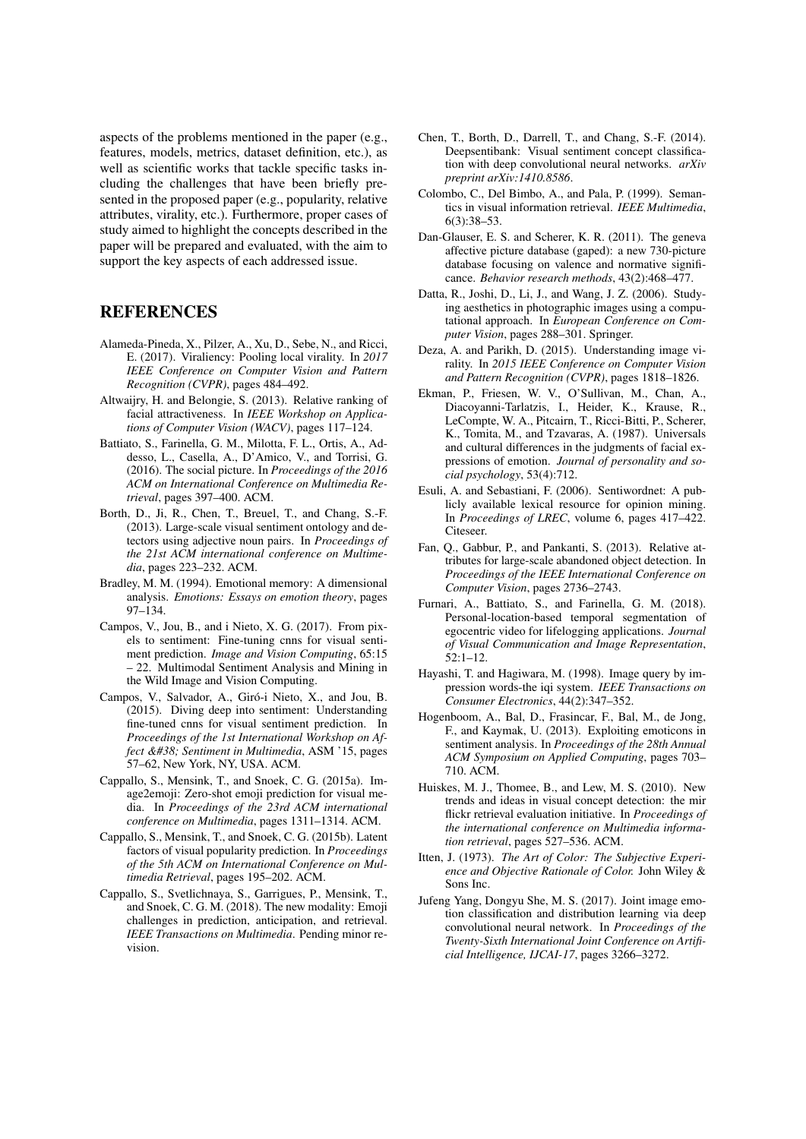aspects of the problems mentioned in the paper (e.g., features, models, metrics, dataset definition, etc.), as well as scientific works that tackle specific tasks including the challenges that have been briefly presented in the proposed paper (e.g., popularity, relative attributes, virality, etc.). Furthermore, proper cases of study aimed to highlight the concepts described in the paper will be prepared and evaluated, with the aim to support the key aspects of each addressed issue.

## REFERENCES

- Alameda-Pineda, X., Pilzer, A., Xu, D., Sebe, N., and Ricci, E. (2017). Viraliency: Pooling local virality. In *2017 IEEE Conference on Computer Vision and Pattern Recognition (CVPR)*, pages 484–492.
- Altwaijry, H. and Belongie, S. (2013). Relative ranking of facial attractiveness. In *IEEE Workshop on Applications of Computer Vision (WACV)*, pages 117–124.
- Battiato, S., Farinella, G. M., Milotta, F. L., Ortis, A., Addesso, L., Casella, A., D'Amico, V., and Torrisi, G. (2016). The social picture. In *Proceedings of the 2016 ACM on International Conference on Multimedia Retrieval*, pages 397–400. ACM.
- Borth, D., Ji, R., Chen, T., Breuel, T., and Chang, S.-F. (2013). Large-scale visual sentiment ontology and detectors using adjective noun pairs. In *Proceedings of the 21st ACM international conference on Multimedia*, pages 223–232. ACM.
- Bradley, M. M. (1994). Emotional memory: A dimensional analysis. *Emotions: Essays on emotion theory*, pages 97–134.
- Campos, V., Jou, B., and i Nieto, X. G. (2017). From pixels to sentiment: Fine-tuning cnns for visual sentiment prediction. *Image and Vision Computing*, 65:15 – 22. Multimodal Sentiment Analysis and Mining in the Wild Image and Vision Computing.
- Campos, V., Salvador, A., Giró-i Nieto, X., and Jou, B. (2015). Diving deep into sentiment: Understanding fine-tuned cnns for visual sentiment prediction. In *Proceedings of the 1st International Workshop on Affect & Sentiment in Multimedia, ASM '15, pages* 57–62, New York, NY, USA. ACM.
- Cappallo, S., Mensink, T., and Snoek, C. G. (2015a). Image2emoji: Zero-shot emoji prediction for visual media. In *Proceedings of the 23rd ACM international conference on Multimedia*, pages 1311–1314. ACM.
- Cappallo, S., Mensink, T., and Snoek, C. G. (2015b). Latent factors of visual popularity prediction. In *Proceedings of the 5th ACM on International Conference on Multimedia Retrieval*, pages 195–202. ACM.
- Cappallo, S., Svetlichnaya, S., Garrigues, P., Mensink, T., and Snoek, C. G. M. (2018). The new modality: Emoji challenges in prediction, anticipation, and retrieval. *IEEE Transactions on Multimedia*. Pending minor revision.
- Chen, T., Borth, D., Darrell, T., and Chang, S.-F. (2014). Deepsentibank: Visual sentiment concept classification with deep convolutional neural networks. *arXiv preprint arXiv:1410.8586*.
- Colombo, C., Del Bimbo, A., and Pala, P. (1999). Semantics in visual information retrieval. *IEEE Multimedia*, 6(3):38–53.
- Dan-Glauser, E. S. and Scherer, K. R. (2011). The geneva affective picture database (gaped): a new 730-picture database focusing on valence and normative significance. *Behavior research methods*, 43(2):468–477.
- Datta, R., Joshi, D., Li, J., and Wang, J. Z. (2006). Studying aesthetics in photographic images using a computational approach. In *European Conference on Computer Vision*, pages 288–301. Springer.
- Deza, A. and Parikh, D. (2015). Understanding image virality. In *2015 IEEE Conference on Computer Vision and Pattern Recognition (CVPR)*, pages 1818–1826.
- Ekman, P., Friesen, W. V., O'Sullivan, M., Chan, A., Diacoyanni-Tarlatzis, I., Heider, K., Krause, R., LeCompte, W. A., Pitcairn, T., Ricci-Bitti, P., Scherer, K., Tomita, M., and Tzavaras, A. (1987). Universals and cultural differences in the judgments of facial expressions of emotion. *Journal of personality and social psychology*, 53(4):712.
- Esuli, A. and Sebastiani, F. (2006). Sentiwordnet: A publicly available lexical resource for opinion mining. In *Proceedings of LREC*, volume 6, pages 417–422. Citeseer.
- Fan, Q., Gabbur, P., and Pankanti, S. (2013). Relative attributes for large-scale abandoned object detection. In *Proceedings of the IEEE International Conference on Computer Vision*, pages 2736–2743.
- Furnari, A., Battiato, S., and Farinella, G. M. (2018). Personal-location-based temporal segmentation of egocentric video for lifelogging applications. *Journal of Visual Communication and Image Representation*, 52:1–12.
- Hayashi, T. and Hagiwara, M. (1998). Image query by impression words-the iqi system. *IEEE Transactions on Consumer Electronics*, 44(2):347–352.
- Hogenboom, A., Bal, D., Frasincar, F., Bal, M., de Jong, F., and Kaymak, U. (2013). Exploiting emoticons in sentiment analysis. In *Proceedings of the 28th Annual ACM Symposium on Applied Computing*, pages 703– 710. ACM.
- Huiskes, M. J., Thomee, B., and Lew, M. S. (2010). New trends and ideas in visual concept detection: the mir flickr retrieval evaluation initiative. In *Proceedings of the international conference on Multimedia information retrieval*, pages 527–536. ACM.
- Itten, J. (1973). *The Art of Color: The Subjective Experience and Objective Rationale of Color.* John Wiley & Sons Inc.
- Jufeng Yang, Dongyu She, M. S. (2017). Joint image emotion classification and distribution learning via deep convolutional neural network. In *Proceedings of the Twenty-Sixth International Joint Conference on Artificial Intelligence, IJCAI-17*, pages 3266–3272.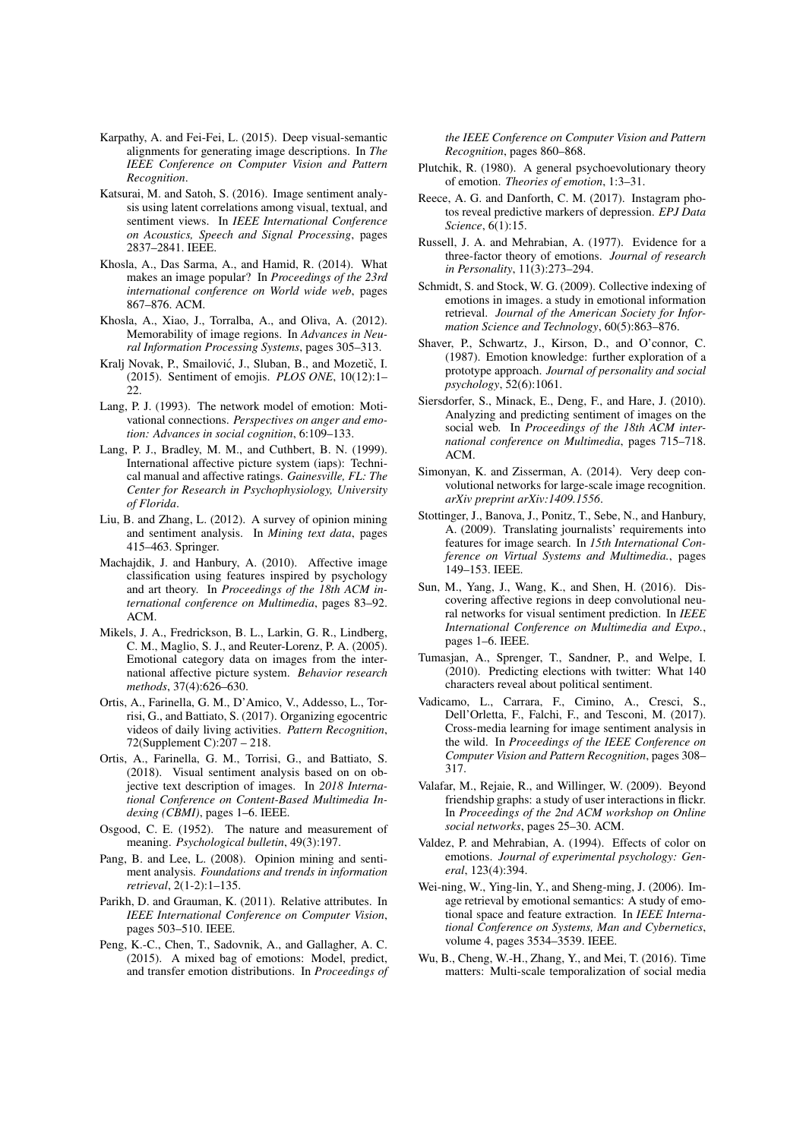- Karpathy, A. and Fei-Fei, L. (2015). Deep visual-semantic alignments for generating image descriptions. In *The IEEE Conference on Computer Vision and Pattern Recognition*.
- Katsurai, M. and Satoh, S. (2016). Image sentiment analysis using latent correlations among visual, textual, and sentiment views. In *IEEE International Conference on Acoustics, Speech and Signal Processing*, pages 2837–2841. IEEE.
- Khosla, A., Das Sarma, A., and Hamid, R. (2014). What makes an image popular? In *Proceedings of the 23rd international conference on World wide web*, pages 867–876. ACM.
- Khosla, A., Xiao, J., Torralba, A., and Oliva, A. (2012). Memorability of image regions. In *Advances in Neural Information Processing Systems*, pages 305–313.
- Kralj Novak, P., Smailović, J., Sluban, B., and Mozetič, I. (2015). Sentiment of emojis. *PLOS ONE*, 10(12):1– 22.
- Lang, P. J. (1993). The network model of emotion: Motivational connections. *Perspectives on anger and emotion: Advances in social cognition*, 6:109–133.
- Lang, P. J., Bradley, M. M., and Cuthbert, B. N. (1999). International affective picture system (iaps): Technical manual and affective ratings. *Gainesville, FL: The Center for Research in Psychophysiology, University of Florida*.
- Liu, B. and Zhang, L. (2012). A survey of opinion mining and sentiment analysis. In *Mining text data*, pages 415–463. Springer.
- Machajdik, J. and Hanbury, A. (2010). Affective image classification using features inspired by psychology and art theory. In *Proceedings of the 18th ACM international conference on Multimedia*, pages 83–92. ACM.
- Mikels, J. A., Fredrickson, B. L., Larkin, G. R., Lindberg, C. M., Maglio, S. J., and Reuter-Lorenz, P. A. (2005). Emotional category data on images from the international affective picture system. *Behavior research methods*, 37(4):626–630.
- Ortis, A., Farinella, G. M., D'Amico, V., Addesso, L., Torrisi, G., and Battiato, S. (2017). Organizing egocentric videos of daily living activities. *Pattern Recognition*, 72(Supplement C):207 – 218.
- Ortis, A., Farinella, G. M., Torrisi, G., and Battiato, S. (2018). Visual sentiment analysis based on on objective text description of images. In *2018 International Conference on Content-Based Multimedia Indexing (CBMI)*, pages 1–6. IEEE.
- Osgood, C. E. (1952). The nature and measurement of meaning. *Psychological bulletin*, 49(3):197.
- Pang, B. and Lee, L. (2008). Opinion mining and sentiment analysis. *Foundations and trends in information retrieval*, 2(1-2):1–135.
- Parikh, D. and Grauman, K. (2011). Relative attributes. In *IEEE International Conference on Computer Vision*, pages 503–510. IEEE.
- Peng, K.-C., Chen, T., Sadovnik, A., and Gallagher, A. C. (2015). A mixed bag of emotions: Model, predict, and transfer emotion distributions. In *Proceedings of*

*the IEEE Conference on Computer Vision and Pattern Recognition*, pages 860–868.

- Plutchik, R. (1980). A general psychoevolutionary theory of emotion. *Theories of emotion*, 1:3–31.
- Reece, A. G. and Danforth, C. M. (2017). Instagram photos reveal predictive markers of depression. *EPJ Data Science*, 6(1):15.
- Russell, J. A. and Mehrabian, A. (1977). Evidence for a three-factor theory of emotions. *Journal of research in Personality*, 11(3):273–294.
- Schmidt, S. and Stock, W. G. (2009). Collective indexing of emotions in images. a study in emotional information retrieval. *Journal of the American Society for Information Science and Technology*, 60(5):863–876.
- Shaver, P., Schwartz, J., Kirson, D., and O'connor, C. (1987). Emotion knowledge: further exploration of a prototype approach. *Journal of personality and social psychology*, 52(6):1061.
- Siersdorfer, S., Minack, E., Deng, F., and Hare, J. (2010). Analyzing and predicting sentiment of images on the social web. In *Proceedings of the 18th ACM international conference on Multimedia*, pages 715–718. ACM.
- Simonyan, K. and Zisserman, A. (2014). Very deep convolutional networks for large-scale image recognition. *arXiv preprint arXiv:1409.1556*.
- Stottinger, J., Banova, J., Ponitz, T., Sebe, N., and Hanbury, A. (2009). Translating journalists' requirements into features for image search. In *15th International Conference on Virtual Systems and Multimedia.*, pages 149–153. IEEE.
- Sun, M., Yang, J., Wang, K., and Shen, H. (2016). Discovering affective regions in deep convolutional neural networks for visual sentiment prediction. In *IEEE International Conference on Multimedia and Expo.*, pages 1–6. IEEE.
- Tumasjan, A., Sprenger, T., Sandner, P., and Welpe, I. (2010). Predicting elections with twitter: What 140 characters reveal about political sentiment.
- Vadicamo, L., Carrara, F., Cimino, A., Cresci, S., Dell'Orletta, F., Falchi, F., and Tesconi, M. (2017). Cross-media learning for image sentiment analysis in the wild. In *Proceedings of the IEEE Conference on Computer Vision and Pattern Recognition*, pages 308– 317.
- Valafar, M., Rejaie, R., and Willinger, W. (2009). Beyond friendship graphs: a study of user interactions in flickr. In *Proceedings of the 2nd ACM workshop on Online social networks*, pages 25–30. ACM.
- Valdez, P. and Mehrabian, A. (1994). Effects of color on emotions. *Journal of experimental psychology: General*, 123(4):394.
- Wei-ning, W., Ying-lin, Y., and Sheng-ming, J. (2006). Image retrieval by emotional semantics: A study of emotional space and feature extraction. In *IEEE International Conference on Systems, Man and Cybernetics*, volume 4, pages 3534–3539. IEEE.
- Wu, B., Cheng, W.-H., Zhang, Y., and Mei, T. (2016). Time matters: Multi-scale temporalization of social media